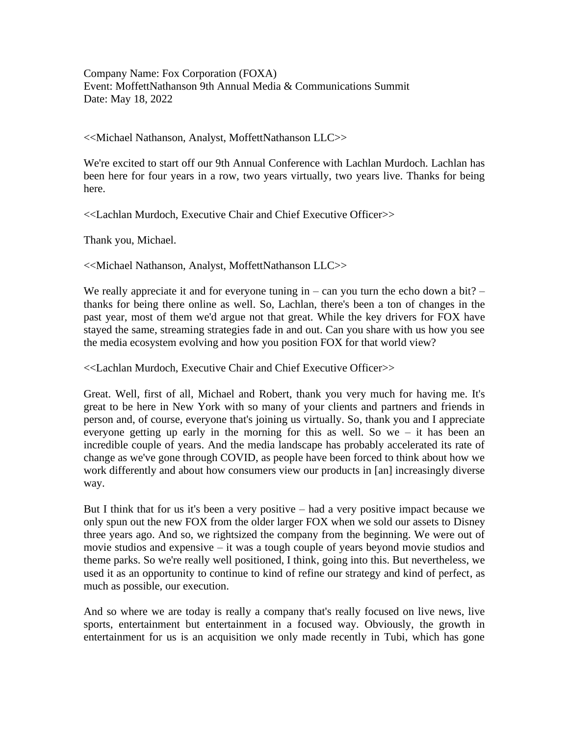Company Name: Fox Corporation (FOXA) Event: MoffettNathanson 9th Annual Media & Communications Summit Date: May 18, 2022

<<Michael Nathanson, Analyst, MoffettNathanson LLC>>

We're excited to start off our 9th Annual Conference with Lachlan Murdoch. Lachlan has been here for four years in a row, two years virtually, two years live. Thanks for being here.

<<Lachlan Murdoch, Executive Chair and Chief Executive Officer>>

Thank you, Michael.

<<Michael Nathanson, Analyst, MoffettNathanson LLC>>

We really appreciate it and for everyone tuning in – can you turn the echo down a bit? – thanks for being there online as well. So, Lachlan, there's been a ton of changes in the past year, most of them we'd argue not that great. While the key drivers for FOX have stayed the same, streaming strategies fade in and out. Can you share with us how you see the media ecosystem evolving and how you position FOX for that world view?

<<Lachlan Murdoch, Executive Chair and Chief Executive Officer>>

Great. Well, first of all, Michael and Robert, thank you very much for having me. It's great to be here in New York with so many of your clients and partners and friends in person and, of course, everyone that's joining us virtually. So, thank you and I appreciate everyone getting up early in the morning for this as well. So we – it has been an incredible couple of years. And the media landscape has probably accelerated its rate of change as we've gone through COVID, as people have been forced to think about how we work differently and about how consumers view our products in [an] increasingly diverse way.

But I think that for us it's been a very positive – had a very positive impact because we only spun out the new FOX from the older larger FOX when we sold our assets to Disney three years ago. And so, we rightsized the company from the beginning. We were out of movie studios and expensive – it was a tough couple of years beyond movie studios and theme parks. So we're really well positioned, I think, going into this. But nevertheless, we used it as an opportunity to continue to kind of refine our strategy and kind of perfect, as much as possible, our execution.

And so where we are today is really a company that's really focused on live news, live sports, entertainment but entertainment in a focused way. Obviously, the growth in entertainment for us is an acquisition we only made recently in Tubi, which has gone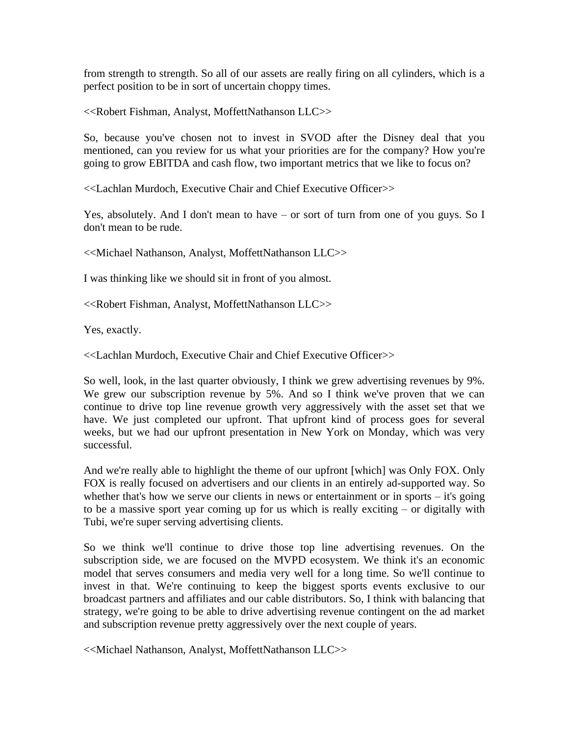from strength to strength. So all of our assets are really firing on all cylinders, which is a perfect position to be in sort of uncertain choppy times.

<<Robert Fishman, Analyst, MoffettNathanson LLC>>

So, because you've chosen not to invest in SVOD after the Disney deal that you mentioned, can you review for us what your priorities are for the company? How you're going to grow EBITDA and cash flow, two important metrics that we like to focus on?

<<Lachlan Murdoch, Executive Chair and Chief Executive Officer>>

Yes, absolutely. And I don't mean to have – or sort of turn from one of you guys. So I don't mean to be rude.

<<Michael Nathanson, Analyst, MoffettNathanson LLC>>

I was thinking like we should sit in front of you almost.

<<Robert Fishman, Analyst, MoffettNathanson LLC>>

Yes, exactly.

<<Lachlan Murdoch, Executive Chair and Chief Executive Officer>>

So well, look, in the last quarter obviously, I think we grew advertising revenues by 9%. We grew our subscription revenue by 5%. And so I think we've proven that we can continue to drive top line revenue growth very aggressively with the asset set that we have. We just completed our upfront. That upfront kind of process goes for several weeks, but we had our upfront presentation in New York on Monday, which was very successful.

And we're really able to highlight the theme of our upfront [which] was Only FOX. Only FOX is really focused on advertisers and our clients in an entirely ad-supported way. So whether that's how we serve our clients in news or entertainment or in sports – it's going to be a massive sport year coming up for us which is really exciting – or digitally with Tubi, we're super serving advertising clients.

So we think we'll continue to drive those top line advertising revenues. On the subscription side, we are focused on the MVPD ecosystem. We think it's an economic model that serves consumers and media very well for a long time. So we'll continue to invest in that. We're continuing to keep the biggest sports events exclusive to our broadcast partners and affiliates and our cable distributors. So, I think with balancing that strategy, we're going to be able to drive advertising revenue contingent on the ad market and subscription revenue pretty aggressively over the next couple of years.

<<Michael Nathanson, Analyst, MoffettNathanson LLC>>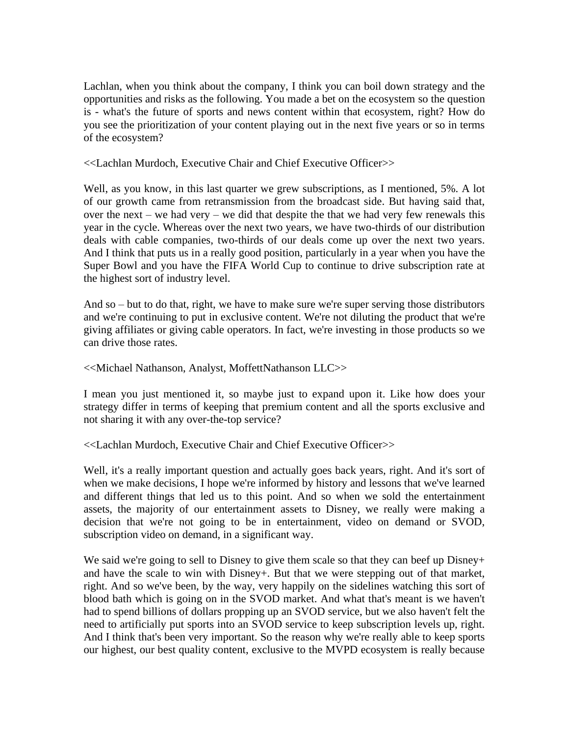Lachlan, when you think about the company, I think you can boil down strategy and the opportunities and risks as the following. You made a bet on the ecosystem so the question is - what's the future of sports and news content within that ecosystem, right? How do you see the prioritization of your content playing out in the next five years or so in terms of the ecosystem?

<<Lachlan Murdoch, Executive Chair and Chief Executive Officer>>

Well, as you know, in this last quarter we grew subscriptions, as I mentioned, 5%. A lot of our growth came from retransmission from the broadcast side. But having said that, over the next – we had very – we did that despite the that we had very few renewals this year in the cycle. Whereas over the next two years, we have two-thirds of our distribution deals with cable companies, two-thirds of our deals come up over the next two years. And I think that puts us in a really good position, particularly in a year when you have the Super Bowl and you have the FIFA World Cup to continue to drive subscription rate at the highest sort of industry level.

And so – but to do that, right, we have to make sure we're super serving those distributors and we're continuing to put in exclusive content. We're not diluting the product that we're giving affiliates or giving cable operators. In fact, we're investing in those products so we can drive those rates.

<<Michael Nathanson, Analyst, MoffettNathanson LLC>>

I mean you just mentioned it, so maybe just to expand upon it. Like how does your strategy differ in terms of keeping that premium content and all the sports exclusive and not sharing it with any over-the-top service?

<<Lachlan Murdoch, Executive Chair and Chief Executive Officer>>

Well, it's a really important question and actually goes back years, right. And it's sort of when we make decisions, I hope we're informed by history and lessons that we've learned and different things that led us to this point. And so when we sold the entertainment assets, the majority of our entertainment assets to Disney, we really were making a decision that we're not going to be in entertainment, video on demand or SVOD, subscription video on demand, in a significant way.

We said we're going to sell to Disney to give them scale so that they can beef up Disney+ and have the scale to win with Disney+. But that we were stepping out of that market, right. And so we've been, by the way, very happily on the sidelines watching this sort of blood bath which is going on in the SVOD market. And what that's meant is we haven't had to spend billions of dollars propping up an SVOD service, but we also haven't felt the need to artificially put sports into an SVOD service to keep subscription levels up, right. And I think that's been very important. So the reason why we're really able to keep sports our highest, our best quality content, exclusive to the MVPD ecosystem is really because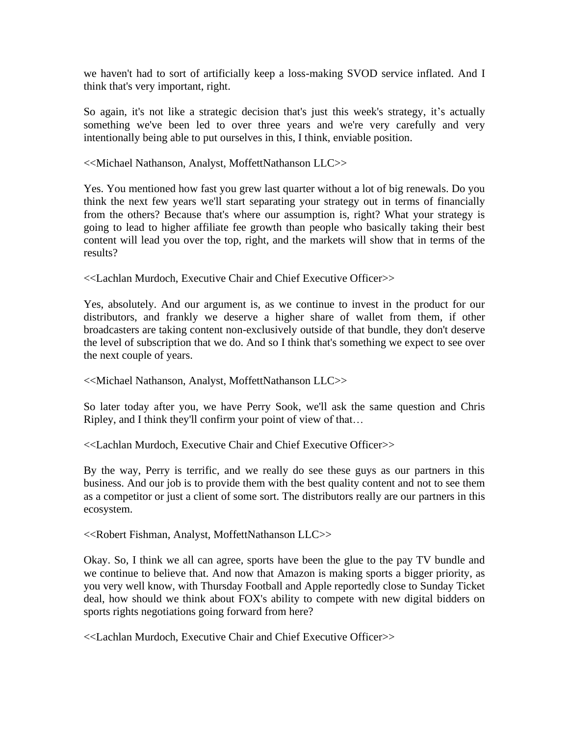we haven't had to sort of artificially keep a loss-making SVOD service inflated. And I think that's very important, right.

So again, it's not like a strategic decision that's just this week's strategy, it's actually something we've been led to over three years and we're very carefully and very intentionally being able to put ourselves in this, I think, enviable position.

<<Michael Nathanson, Analyst, MoffettNathanson LLC>>

Yes. You mentioned how fast you grew last quarter without a lot of big renewals. Do you think the next few years we'll start separating your strategy out in terms of financially from the others? Because that's where our assumption is, right? What your strategy is going to lead to higher affiliate fee growth than people who basically taking their best content will lead you over the top, right, and the markets will show that in terms of the results?

<<Lachlan Murdoch, Executive Chair and Chief Executive Officer>>

Yes, absolutely. And our argument is, as we continue to invest in the product for our distributors, and frankly we deserve a higher share of wallet from them, if other broadcasters are taking content non-exclusively outside of that bundle, they don't deserve the level of subscription that we do. And so I think that's something we expect to see over the next couple of years.

<<Michael Nathanson, Analyst, MoffettNathanson LLC>>

So later today after you, we have Perry Sook, we'll ask the same question and Chris Ripley, and I think they'll confirm your point of view of that…

<<Lachlan Murdoch, Executive Chair and Chief Executive Officer>>

By the way, Perry is terrific, and we really do see these guys as our partners in this business. And our job is to provide them with the best quality content and not to see them as a competitor or just a client of some sort. The distributors really are our partners in this ecosystem.

<<Robert Fishman, Analyst, MoffettNathanson LLC>>

Okay. So, I think we all can agree, sports have been the glue to the pay TV bundle and we continue to believe that. And now that Amazon is making sports a bigger priority, as you very well know, with Thursday Football and Apple reportedly close to Sunday Ticket deal, how should we think about FOX's ability to compete with new digital bidders on sports rights negotiations going forward from here?

<<Lachlan Murdoch, Executive Chair and Chief Executive Officer>>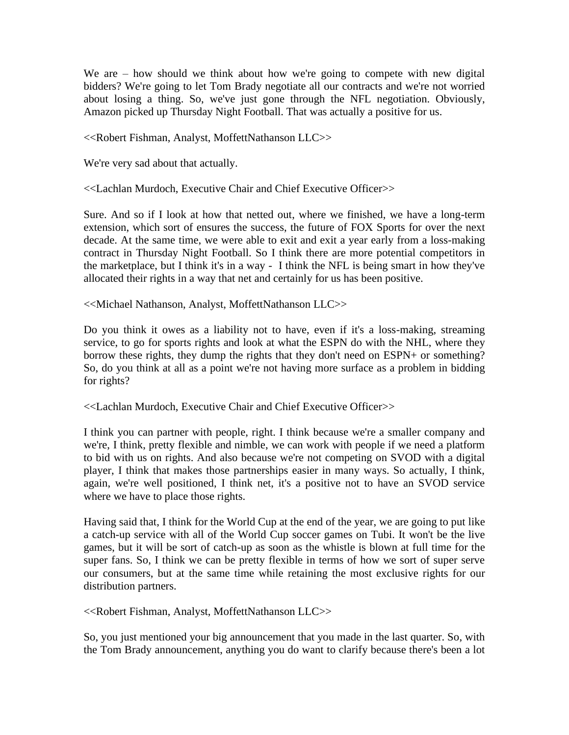We are – how should we think about how we're going to compete with new digital bidders? We're going to let Tom Brady negotiate all our contracts and we're not worried about losing a thing. So, we've just gone through the NFL negotiation. Obviously, Amazon picked up Thursday Night Football. That was actually a positive for us.

<<Robert Fishman, Analyst, MoffettNathanson LLC>>

We're very sad about that actually.

<<Lachlan Murdoch, Executive Chair and Chief Executive Officer>>

Sure. And so if I look at how that netted out, where we finished, we have a long-term extension, which sort of ensures the success, the future of FOX Sports for over the next decade. At the same time, we were able to exit and exit a year early from a loss-making contract in Thursday Night Football. So I think there are more potential competitors in the marketplace, but I think it's in a way - I think the NFL is being smart in how they've allocated their rights in a way that net and certainly for us has been positive.

<<Michael Nathanson, Analyst, MoffettNathanson LLC>>

Do you think it owes as a liability not to have, even if it's a loss-making, streaming service, to go for sports rights and look at what the ESPN do with the NHL, where they borrow these rights, they dump the rights that they don't need on ESPN+ or something? So, do you think at all as a point we're not having more surface as a problem in bidding for rights?

<<Lachlan Murdoch, Executive Chair and Chief Executive Officer>>

I think you can partner with people, right. I think because we're a smaller company and we're, I think, pretty flexible and nimble, we can work with people if we need a platform to bid with us on rights. And also because we're not competing on SVOD with a digital player, I think that makes those partnerships easier in many ways. So actually, I think, again, we're well positioned, I think net, it's a positive not to have an SVOD service where we have to place those rights.

Having said that, I think for the World Cup at the end of the year, we are going to put like a catch-up service with all of the World Cup soccer games on Tubi. It won't be the live games, but it will be sort of catch-up as soon as the whistle is blown at full time for the super fans. So, I think we can be pretty flexible in terms of how we sort of super serve our consumers, but at the same time while retaining the most exclusive rights for our distribution partners.

<<Robert Fishman, Analyst, MoffettNathanson LLC>>

So, you just mentioned your big announcement that you made in the last quarter. So, with the Tom Brady announcement, anything you do want to clarify because there's been a lot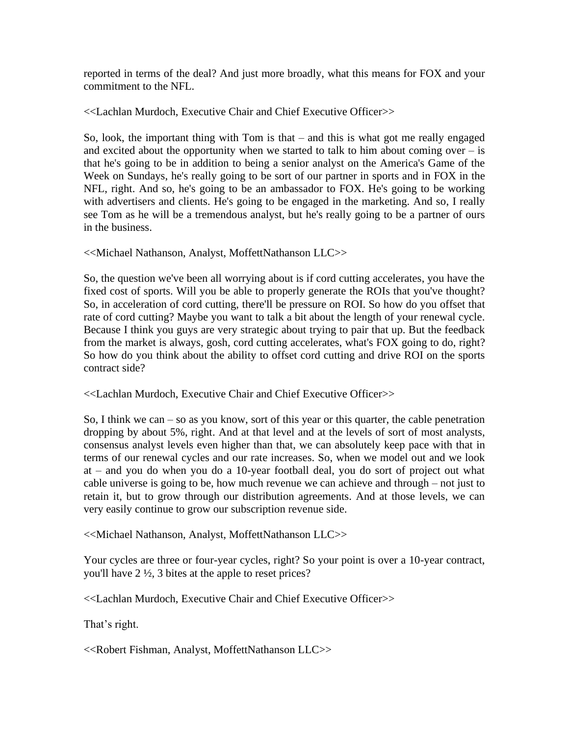reported in terms of the deal? And just more broadly, what this means for FOX and your commitment to the NFL.

<<Lachlan Murdoch, Executive Chair and Chief Executive Officer>>

So, look, the important thing with Tom is that – and this is what got me really engaged and excited about the opportunity when we started to talk to him about coming over  $-$  is that he's going to be in addition to being a senior analyst on the America's Game of the Week on Sundays, he's really going to be sort of our partner in sports and in FOX in the NFL, right. And so, he's going to be an ambassador to FOX. He's going to be working with advertisers and clients. He's going to be engaged in the marketing. And so, I really see Tom as he will be a tremendous analyst, but he's really going to be a partner of ours in the business.

<<Michael Nathanson, Analyst, MoffettNathanson LLC>>

So, the question we've been all worrying about is if cord cutting accelerates, you have the fixed cost of sports. Will you be able to properly generate the ROIs that you've thought? So, in acceleration of cord cutting, there'll be pressure on ROI. So how do you offset that rate of cord cutting? Maybe you want to talk a bit about the length of your renewal cycle. Because I think you guys are very strategic about trying to pair that up. But the feedback from the market is always, gosh, cord cutting accelerates, what's FOX going to do, right? So how do you think about the ability to offset cord cutting and drive ROI on the sports contract side?

<<Lachlan Murdoch, Executive Chair and Chief Executive Officer>>

So, I think we can – so as you know, sort of this year or this quarter, the cable penetration dropping by about 5%, right. And at that level and at the levels of sort of most analysts, consensus analyst levels even higher than that, we can absolutely keep pace with that in terms of our renewal cycles and our rate increases. So, when we model out and we look at – and you do when you do a 10-year football deal, you do sort of project out what cable universe is going to be, how much revenue we can achieve and through – not just to retain it, but to grow through our distribution agreements. And at those levels, we can very easily continue to grow our subscription revenue side.

<<Michael Nathanson, Analyst, MoffettNathanson LLC>>

Your cycles are three or four-year cycles, right? So your point is over a 10-year contract, you'll have 2 ½, 3 bites at the apple to reset prices?

<<Lachlan Murdoch, Executive Chair and Chief Executive Officer>>

That's right.

<<Robert Fishman, Analyst, MoffettNathanson LLC>>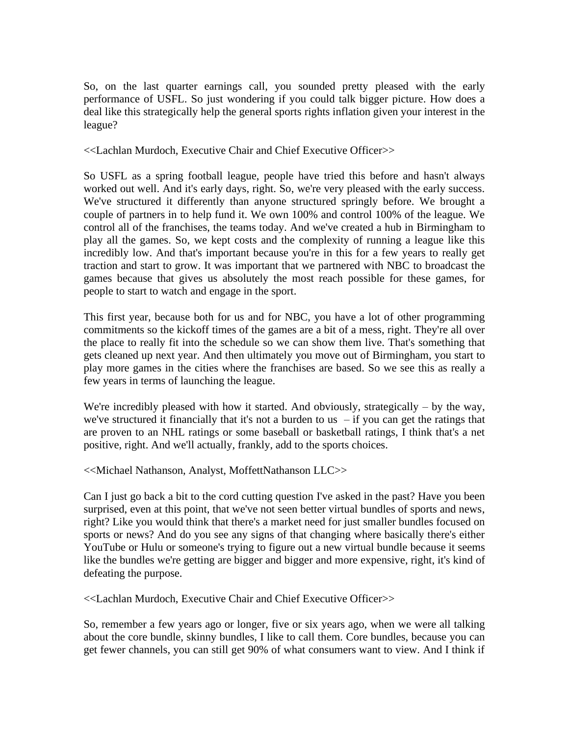So, on the last quarter earnings call, you sounded pretty pleased with the early performance of USFL. So just wondering if you could talk bigger picture. How does a deal like this strategically help the general sports rights inflation given your interest in the league?

<<Lachlan Murdoch, Executive Chair and Chief Executive Officer>>

So USFL as a spring football league, people have tried this before and hasn't always worked out well. And it's early days, right. So, we're very pleased with the early success. We've structured it differently than anyone structured springly before. We brought a couple of partners in to help fund it. We own 100% and control 100% of the league. We control all of the franchises, the teams today. And we've created a hub in Birmingham to play all the games. So, we kept costs and the complexity of running a league like this incredibly low. And that's important because you're in this for a few years to really get traction and start to grow. It was important that we partnered with NBC to broadcast the games because that gives us absolutely the most reach possible for these games, for people to start to watch and engage in the sport.

This first year, because both for us and for NBC, you have a lot of other programming commitments so the kickoff times of the games are a bit of a mess, right. They're all over the place to really fit into the schedule so we can show them live. That's something that gets cleaned up next year. And then ultimately you move out of Birmingham, you start to play more games in the cities where the franchises are based. So we see this as really a few years in terms of launching the league.

We're incredibly pleased with how it started. And obviously, strategically  $-$  by the way, we've structured it financially that it's not a burden to us  $-$  if you can get the ratings that are proven to an NHL ratings or some baseball or basketball ratings, I think that's a net positive, right. And we'll actually, frankly, add to the sports choices.

<<Michael Nathanson, Analyst, MoffettNathanson LLC>>

Can I just go back a bit to the cord cutting question I've asked in the past? Have you been surprised, even at this point, that we've not seen better virtual bundles of sports and news, right? Like you would think that there's a market need for just smaller bundles focused on sports or news? And do you see any signs of that changing where basically there's either YouTube or Hulu or someone's trying to figure out a new virtual bundle because it seems like the bundles we're getting are bigger and bigger and more expensive, right, it's kind of defeating the purpose.

<<Lachlan Murdoch, Executive Chair and Chief Executive Officer>>

So, remember a few years ago or longer, five or six years ago, when we were all talking about the core bundle, skinny bundles, I like to call them. Core bundles, because you can get fewer channels, you can still get 90% of what consumers want to view. And I think if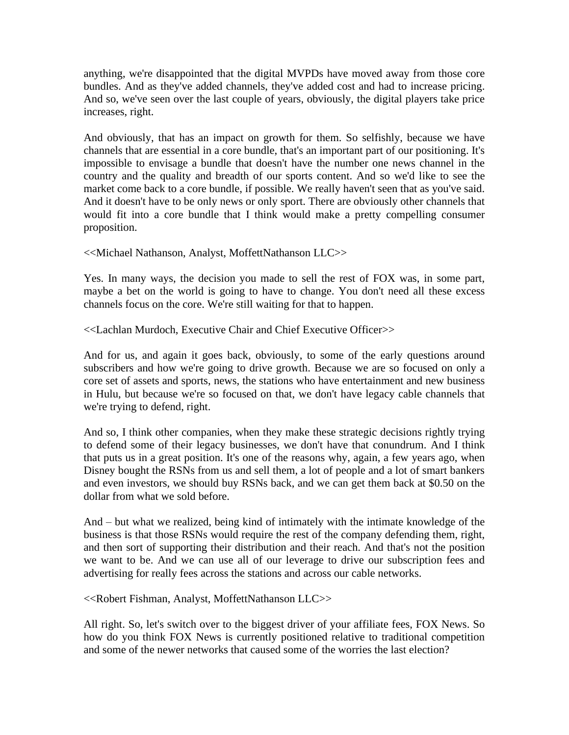anything, we're disappointed that the digital MVPDs have moved away from those core bundles. And as they've added channels, they've added cost and had to increase pricing. And so, we've seen over the last couple of years, obviously, the digital players take price increases, right.

And obviously, that has an impact on growth for them. So selfishly, because we have channels that are essential in a core bundle, that's an important part of our positioning. It's impossible to envisage a bundle that doesn't have the number one news channel in the country and the quality and breadth of our sports content. And so we'd like to see the market come back to a core bundle, if possible. We really haven't seen that as you've said. And it doesn't have to be only news or only sport. There are obviously other channels that would fit into a core bundle that I think would make a pretty compelling consumer proposition.

<<Michael Nathanson, Analyst, MoffettNathanson LLC>>

Yes. In many ways, the decision you made to sell the rest of FOX was, in some part, maybe a bet on the world is going to have to change. You don't need all these excess channels focus on the core. We're still waiting for that to happen.

<<Lachlan Murdoch, Executive Chair and Chief Executive Officer>>

And for us, and again it goes back, obviously, to some of the early questions around subscribers and how we're going to drive growth. Because we are so focused on only a core set of assets and sports, news, the stations who have entertainment and new business in Hulu, but because we're so focused on that, we don't have legacy cable channels that we're trying to defend, right.

And so, I think other companies, when they make these strategic decisions rightly trying to defend some of their legacy businesses, we don't have that conundrum. And I think that puts us in a great position. It's one of the reasons why, again, a few years ago, when Disney bought the RSNs from us and sell them, a lot of people and a lot of smart bankers and even investors, we should buy RSNs back, and we can get them back at \$0.50 on the dollar from what we sold before.

And – but what we realized, being kind of intimately with the intimate knowledge of the business is that those RSNs would require the rest of the company defending them, right, and then sort of supporting their distribution and their reach. And that's not the position we want to be. And we can use all of our leverage to drive our subscription fees and advertising for really fees across the stations and across our cable networks.

<<Robert Fishman, Analyst, MoffettNathanson LLC>>

All right. So, let's switch over to the biggest driver of your affiliate fees, FOX News. So how do you think FOX News is currently positioned relative to traditional competition and some of the newer networks that caused some of the worries the last election?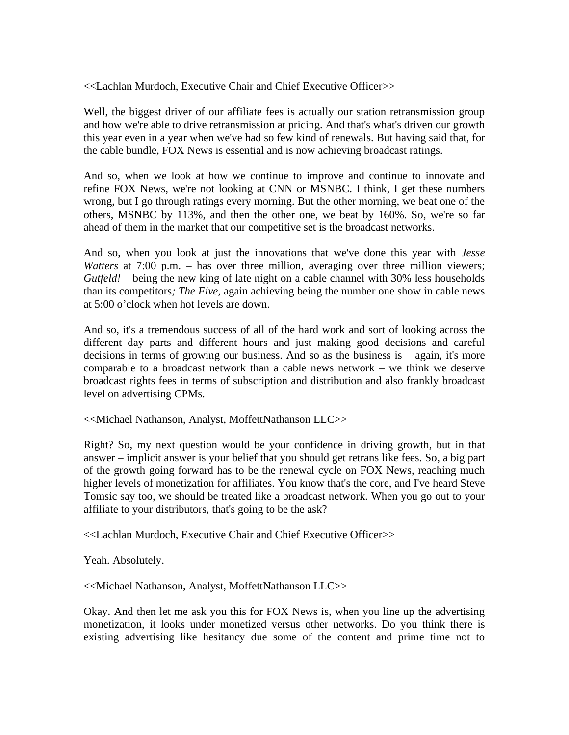<<Lachlan Murdoch, Executive Chair and Chief Executive Officer>>

Well, the biggest driver of our affiliate fees is actually our station retransmission group and how we're able to drive retransmission at pricing. And that's what's driven our growth this year even in a year when we've had so few kind of renewals. But having said that, for the cable bundle, FOX News is essential and is now achieving broadcast ratings.

And so, when we look at how we continue to improve and continue to innovate and refine FOX News, we're not looking at CNN or MSNBC. I think, I get these numbers wrong, but I go through ratings every morning. But the other morning, we beat one of the others, MSNBC by 113%, and then the other one, we beat by 160%. So, we're so far ahead of them in the market that our competitive set is the broadcast networks.

And so, when you look at just the innovations that we've done this year with *Jesse Watters* at 7:00 p.m. – has over three million, averaging over three million viewers; *Gutfeld!* – being the new king of late night on a cable channel with 30% less households than its competitors*; The Five*, again achieving being the number one show in cable news at 5:00 o'clock when hot levels are down.

And so, it's a tremendous success of all of the hard work and sort of looking across the different day parts and different hours and just making good decisions and careful decisions in terms of growing our business. And so as the business is – again, it's more comparable to a broadcast network than a cable news network – we think we deserve broadcast rights fees in terms of subscription and distribution and also frankly broadcast level on advertising CPMs.

<<Michael Nathanson, Analyst, MoffettNathanson LLC>>

Right? So, my next question would be your confidence in driving growth, but in that answer – implicit answer is your belief that you should get retrans like fees. So, a big part of the growth going forward has to be the renewal cycle on FOX News, reaching much higher levels of monetization for affiliates. You know that's the core, and I've heard Steve Tomsic say too, we should be treated like a broadcast network. When you go out to your affiliate to your distributors, that's going to be the ask?

<<Lachlan Murdoch, Executive Chair and Chief Executive Officer>>

Yeah. Absolutely.

<<Michael Nathanson, Analyst, MoffettNathanson LLC>>

Okay. And then let me ask you this for FOX News is, when you line up the advertising monetization, it looks under monetized versus other networks. Do you think there is existing advertising like hesitancy due some of the content and prime time not to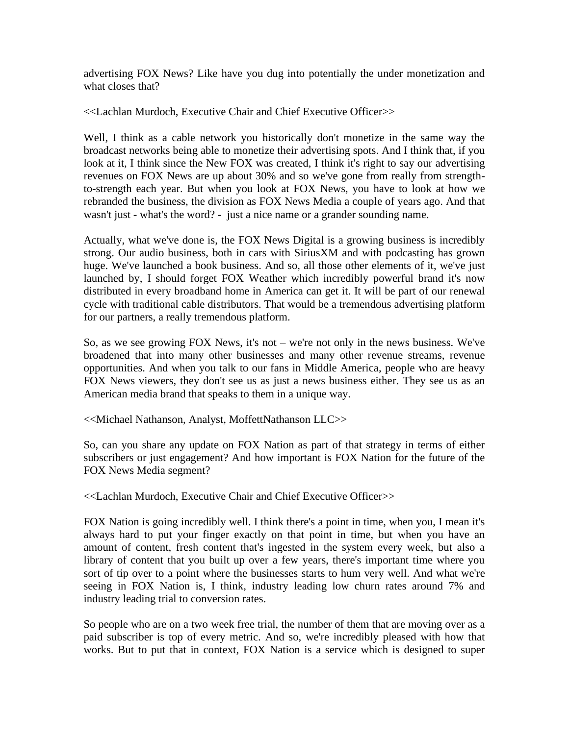advertising FOX News? Like have you dug into potentially the under monetization and what closes that?

<<Lachlan Murdoch, Executive Chair and Chief Executive Officer>>

Well, I think as a cable network you historically don't monetize in the same way the broadcast networks being able to monetize their advertising spots. And I think that, if you look at it, I think since the New FOX was created, I think it's right to say our advertising revenues on FOX News are up about 30% and so we've gone from really from strengthto-strength each year. But when you look at FOX News, you have to look at how we rebranded the business, the division as FOX News Media a couple of years ago. And that wasn't just - what's the word? - just a nice name or a grander sounding name.

Actually, what we've done is, the FOX News Digital is a growing business is incredibly strong. Our audio business, both in cars with SiriusXM and with podcasting has grown huge. We've launched a book business. And so, all those other elements of it, we've just launched by, I should forget FOX Weather which incredibly powerful brand it's now distributed in every broadband home in America can get it. It will be part of our renewal cycle with traditional cable distributors. That would be a tremendous advertising platform for our partners, a really tremendous platform.

So, as we see growing FOX News, it's not – we're not only in the news business. We've broadened that into many other businesses and many other revenue streams, revenue opportunities. And when you talk to our fans in Middle America, people who are heavy FOX News viewers, they don't see us as just a news business either. They see us as an American media brand that speaks to them in a unique way.

<<Michael Nathanson, Analyst, MoffettNathanson LLC>>

So, can you share any update on FOX Nation as part of that strategy in terms of either subscribers or just engagement? And how important is FOX Nation for the future of the FOX News Media segment?

<<Lachlan Murdoch, Executive Chair and Chief Executive Officer>>

FOX Nation is going incredibly well. I think there's a point in time, when you, I mean it's always hard to put your finger exactly on that point in time, but when you have an amount of content, fresh content that's ingested in the system every week, but also a library of content that you built up over a few years, there's important time where you sort of tip over to a point where the businesses starts to hum very well. And what we're seeing in FOX Nation is, I think, industry leading low churn rates around 7% and industry leading trial to conversion rates.

So people who are on a two week free trial, the number of them that are moving over as a paid subscriber is top of every metric. And so, we're incredibly pleased with how that works. But to put that in context, FOX Nation is a service which is designed to super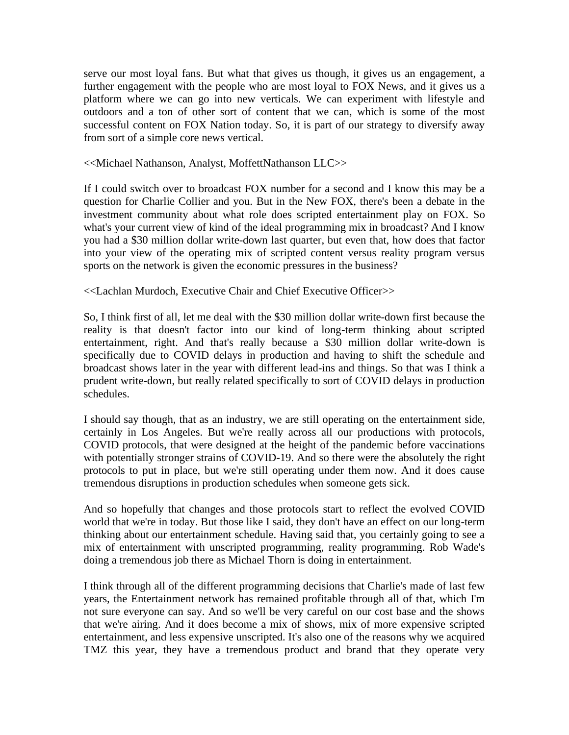serve our most loyal fans. But what that gives us though, it gives us an engagement, a further engagement with the people who are most loyal to FOX News, and it gives us a platform where we can go into new verticals. We can experiment with lifestyle and outdoors and a ton of other sort of content that we can, which is some of the most successful content on FOX Nation today. So, it is part of our strategy to diversify away from sort of a simple core news vertical.

<<Michael Nathanson, Analyst, MoffettNathanson LLC>>

If I could switch over to broadcast FOX number for a second and I know this may be a question for Charlie Collier and you. But in the New FOX, there's been a debate in the investment community about what role does scripted entertainment play on FOX. So what's your current view of kind of the ideal programming mix in broadcast? And I know you had a \$30 million dollar write-down last quarter, but even that, how does that factor into your view of the operating mix of scripted content versus reality program versus sports on the network is given the economic pressures in the business?

<<Lachlan Murdoch, Executive Chair and Chief Executive Officer>>

So, I think first of all, let me deal with the \$30 million dollar write-down first because the reality is that doesn't factor into our kind of long-term thinking about scripted entertainment, right. And that's really because a \$30 million dollar write-down is specifically due to COVID delays in production and having to shift the schedule and broadcast shows later in the year with different lead-ins and things. So that was I think a prudent write-down, but really related specifically to sort of COVID delays in production schedules.

I should say though, that as an industry, we are still operating on the entertainment side, certainly in Los Angeles. But we're really across all our productions with protocols, COVID protocols, that were designed at the height of the pandemic before vaccinations with potentially stronger strains of COVID-19. And so there were the absolutely the right protocols to put in place, but we're still operating under them now. And it does cause tremendous disruptions in production schedules when someone gets sick.

And so hopefully that changes and those protocols start to reflect the evolved COVID world that we're in today. But those like I said, they don't have an effect on our long-term thinking about our entertainment schedule. Having said that, you certainly going to see a mix of entertainment with unscripted programming, reality programming. Rob Wade's doing a tremendous job there as Michael Thorn is doing in entertainment.

I think through all of the different programming decisions that Charlie's made of last few years, the Entertainment network has remained profitable through all of that, which I'm not sure everyone can say. And so we'll be very careful on our cost base and the shows that we're airing. And it does become a mix of shows, mix of more expensive scripted entertainment, and less expensive unscripted. It's also one of the reasons why we acquired TMZ this year, they have a tremendous product and brand that they operate very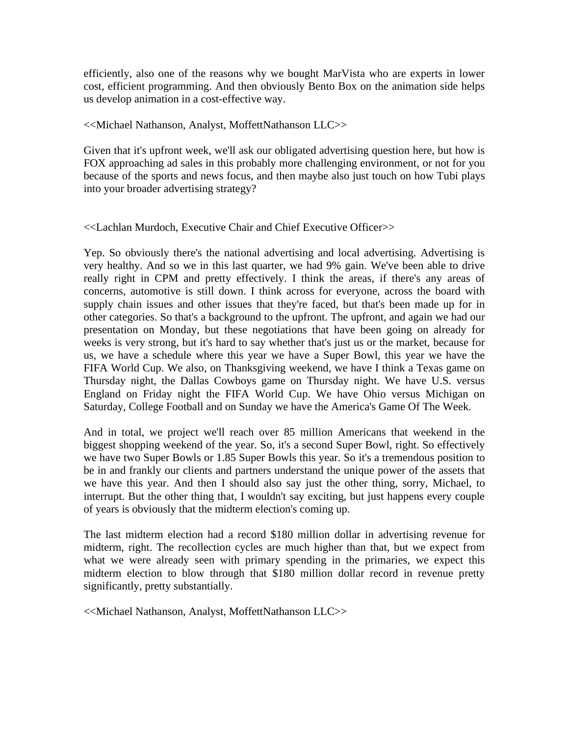efficiently, also one of the reasons why we bought MarVista who are experts in lower cost, efficient programming. And then obviously Bento Box on the animation side helps us develop animation in a cost-effective way.

## <<Michael Nathanson, Analyst, MoffettNathanson LLC>>

Given that it's upfront week, we'll ask our obligated advertising question here, but how is FOX approaching ad sales in this probably more challenging environment, or not for you because of the sports and news focus, and then maybe also just touch on how Tubi plays into your broader advertising strategy?

## <<Lachlan Murdoch, Executive Chair and Chief Executive Officer>>

Yep. So obviously there's the national advertising and local advertising. Advertising is very healthy. And so we in this last quarter, we had 9% gain. We've been able to drive really right in CPM and pretty effectively. I think the areas, if there's any areas of concerns, automotive is still down. I think across for everyone, across the board with supply chain issues and other issues that they're faced, but that's been made up for in other categories. So that's a background to the upfront. The upfront, and again we had our presentation on Monday, but these negotiations that have been going on already for weeks is very strong, but it's hard to say whether that's just us or the market, because for us, we have a schedule where this year we have a Super Bowl, this year we have the FIFA World Cup. We also, on Thanksgiving weekend, we have I think a Texas game on Thursday night, the Dallas Cowboys game on Thursday night. We have U.S. versus England on Friday night the FIFA World Cup. We have Ohio versus Michigan on Saturday, College Football and on Sunday we have the America's Game Of The Week.

And in total, we project we'll reach over 85 million Americans that weekend in the biggest shopping weekend of the year. So, it's a second Super Bowl, right. So effectively we have two Super Bowls or 1.85 Super Bowls this year. So it's a tremendous position to be in and frankly our clients and partners understand the unique power of the assets that we have this year. And then I should also say just the other thing, sorry, Michael, to interrupt. But the other thing that, I wouldn't say exciting, but just happens every couple of years is obviously that the midterm election's coming up.

The last midterm election had a record \$180 million dollar in advertising revenue for midterm, right. The recollection cycles are much higher than that, but we expect from what we were already seen with primary spending in the primaries, we expect this midterm election to blow through that \$180 million dollar record in revenue pretty significantly, pretty substantially.

<<Michael Nathanson, Analyst, MoffettNathanson LLC>>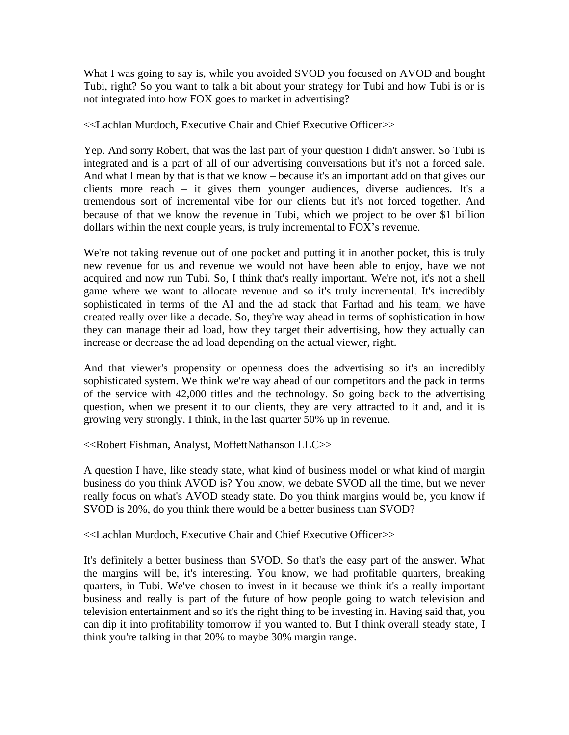What I was going to say is, while you avoided SVOD you focused on AVOD and bought Tubi, right? So you want to talk a bit about your strategy for Tubi and how Tubi is or is not integrated into how FOX goes to market in advertising?

<<Lachlan Murdoch, Executive Chair and Chief Executive Officer>>

Yep. And sorry Robert, that was the last part of your question I didn't answer. So Tubi is integrated and is a part of all of our advertising conversations but it's not a forced sale. And what I mean by that is that we know – because it's an important add on that gives our clients more reach – it gives them younger audiences, diverse audiences. It's a tremendous sort of incremental vibe for our clients but it's not forced together. And because of that we know the revenue in Tubi, which we project to be over \$1 billion dollars within the next couple years, is truly incremental to FOX's revenue.

We're not taking revenue out of one pocket and putting it in another pocket, this is truly new revenue for us and revenue we would not have been able to enjoy, have we not acquired and now run Tubi. So, I think that's really important. We're not, it's not a shell game where we want to allocate revenue and so it's truly incremental. It's incredibly sophisticated in terms of the AI and the ad stack that Farhad and his team, we have created really over like a decade. So, they're way ahead in terms of sophistication in how they can manage their ad load, how they target their advertising, how they actually can increase or decrease the ad load depending on the actual viewer, right.

And that viewer's propensity or openness does the advertising so it's an incredibly sophisticated system. We think we're way ahead of our competitors and the pack in terms of the service with 42,000 titles and the technology. So going back to the advertising question, when we present it to our clients, they are very attracted to it and, and it is growing very strongly. I think, in the last quarter 50% up in revenue.

<<Robert Fishman, Analyst, MoffettNathanson LLC>>

A question I have, like steady state, what kind of business model or what kind of margin business do you think AVOD is? You know, we debate SVOD all the time, but we never really focus on what's AVOD steady state. Do you think margins would be, you know if SVOD is 20%, do you think there would be a better business than SVOD?

<<Lachlan Murdoch, Executive Chair and Chief Executive Officer>>

It's definitely a better business than SVOD. So that's the easy part of the answer. What the margins will be, it's interesting. You know, we had profitable quarters, breaking quarters, in Tubi. We've chosen to invest in it because we think it's a really important business and really is part of the future of how people going to watch television and television entertainment and so it's the right thing to be investing in. Having said that, you can dip it into profitability tomorrow if you wanted to. But I think overall steady state, I think you're talking in that 20% to maybe 30% margin range.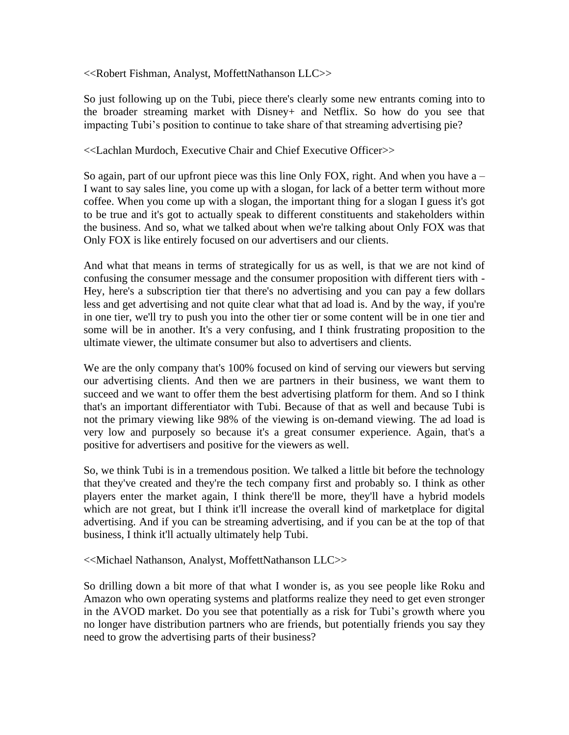<<Robert Fishman, Analyst, MoffettNathanson LLC>>

So just following up on the Tubi, piece there's clearly some new entrants coming into to the broader streaming market with Disney+ and Netflix. So how do you see that impacting Tubi's position to continue to take share of that streaming advertising pie?

## <<Lachlan Murdoch, Executive Chair and Chief Executive Officer>>

So again, part of our upfront piece was this line Only FOX, right. And when you have  $a -$ I want to say sales line, you come up with a slogan, for lack of a better term without more coffee. When you come up with a slogan, the important thing for a slogan I guess it's got to be true and it's got to actually speak to different constituents and stakeholders within the business. And so, what we talked about when we're talking about Only FOX was that Only FOX is like entirely focused on our advertisers and our clients.

And what that means in terms of strategically for us as well, is that we are not kind of confusing the consumer message and the consumer proposition with different tiers with - Hey, here's a subscription tier that there's no advertising and you can pay a few dollars less and get advertising and not quite clear what that ad load is. And by the way, if you're in one tier, we'll try to push you into the other tier or some content will be in one tier and some will be in another. It's a very confusing, and I think frustrating proposition to the ultimate viewer, the ultimate consumer but also to advertisers and clients.

We are the only company that's 100% focused on kind of serving our viewers but serving our advertising clients. And then we are partners in their business, we want them to succeed and we want to offer them the best advertising platform for them. And so I think that's an important differentiator with Tubi. Because of that as well and because Tubi is not the primary viewing like 98% of the viewing is on-demand viewing. The ad load is very low and purposely so because it's a great consumer experience. Again, that's a positive for advertisers and positive for the viewers as well.

So, we think Tubi is in a tremendous position. We talked a little bit before the technology that they've created and they're the tech company first and probably so. I think as other players enter the market again, I think there'll be more, they'll have a hybrid models which are not great, but I think it'll increase the overall kind of marketplace for digital advertising. And if you can be streaming advertising, and if you can be at the top of that business, I think it'll actually ultimately help Tubi.

<<Michael Nathanson, Analyst, MoffettNathanson LLC>>

So drilling down a bit more of that what I wonder is, as you see people like Roku and Amazon who own operating systems and platforms realize they need to get even stronger in the AVOD market. Do you see that potentially as a risk for Tubi's growth where you no longer have distribution partners who are friends, but potentially friends you say they need to grow the advertising parts of their business?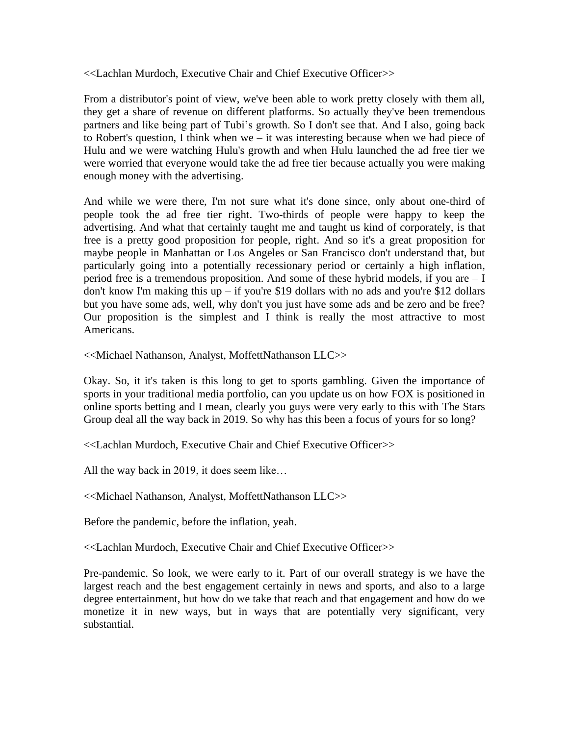<<Lachlan Murdoch, Executive Chair and Chief Executive Officer>>

From a distributor's point of view, we've been able to work pretty closely with them all, they get a share of revenue on different platforms. So actually they've been tremendous partners and like being part of Tubi's growth. So I don't see that. And I also, going back to Robert's question, I think when we – it was interesting because when we had piece of Hulu and we were watching Hulu's growth and when Hulu launched the ad free tier we were worried that everyone would take the ad free tier because actually you were making enough money with the advertising.

And while we were there, I'm not sure what it's done since, only about one-third of people took the ad free tier right. Two-thirds of people were happy to keep the advertising. And what that certainly taught me and taught us kind of corporately, is that free is a pretty good proposition for people, right. And so it's a great proposition for maybe people in Manhattan or Los Angeles or San Francisco don't understand that, but particularly going into a potentially recessionary period or certainly a high inflation, period free is a tremendous proposition. And some of these hybrid models, if you are – I don't know I'm making this up – if you're \$19 dollars with no ads and you're \$12 dollars but you have some ads, well, why don't you just have some ads and be zero and be free? Our proposition is the simplest and I think is really the most attractive to most Americans.

<<Michael Nathanson, Analyst, MoffettNathanson LLC>>

Okay. So, it it's taken is this long to get to sports gambling. Given the importance of sports in your traditional media portfolio, can you update us on how FOX is positioned in online sports betting and I mean, clearly you guys were very early to this with The Stars Group deal all the way back in 2019. So why has this been a focus of yours for so long?

<<Lachlan Murdoch, Executive Chair and Chief Executive Officer>>

All the way back in 2019, it does seem like…

<<Michael Nathanson, Analyst, MoffettNathanson LLC>>

Before the pandemic, before the inflation, yeah.

<<Lachlan Murdoch, Executive Chair and Chief Executive Officer>>

Pre-pandemic. So look, we were early to it. Part of our overall strategy is we have the largest reach and the best engagement certainly in news and sports, and also to a large degree entertainment, but how do we take that reach and that engagement and how do we monetize it in new ways, but in ways that are potentially very significant, very substantial.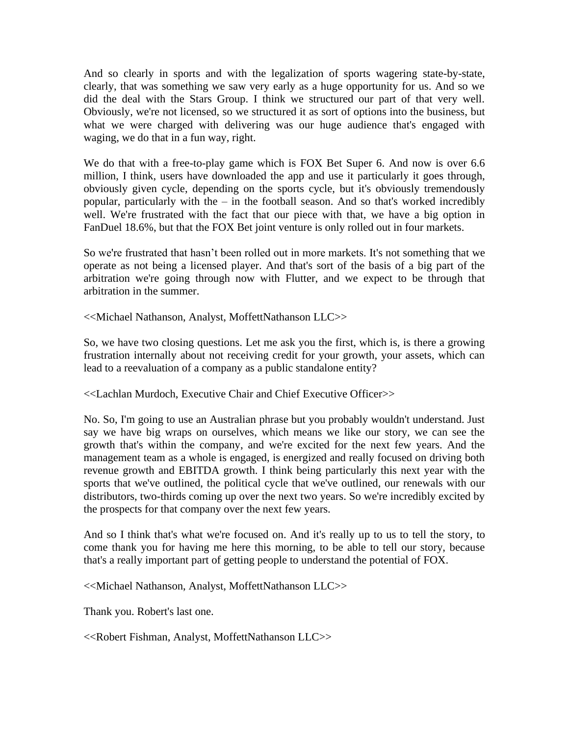And so clearly in sports and with the legalization of sports wagering state-by-state, clearly, that was something we saw very early as a huge opportunity for us. And so we did the deal with the Stars Group. I think we structured our part of that very well. Obviously, we're not licensed, so we structured it as sort of options into the business, but what we were charged with delivering was our huge audience that's engaged with waging, we do that in a fun way, right.

We do that with a free-to-play game which is FOX Bet Super 6. And now is over 6.6 million, I think, users have downloaded the app and use it particularly it goes through, obviously given cycle, depending on the sports cycle, but it's obviously tremendously popular, particularly with the – in the football season. And so that's worked incredibly well. We're frustrated with the fact that our piece with that, we have a big option in FanDuel 18.6%, but that the FOX Bet joint venture is only rolled out in four markets.

So we're frustrated that hasn't been rolled out in more markets. It's not something that we operate as not being a licensed player. And that's sort of the basis of a big part of the arbitration we're going through now with Flutter, and we expect to be through that arbitration in the summer.

<<Michael Nathanson, Analyst, MoffettNathanson LLC>>

So, we have two closing questions. Let me ask you the first, which is, is there a growing frustration internally about not receiving credit for your growth, your assets, which can lead to a reevaluation of a company as a public standalone entity?

<<Lachlan Murdoch, Executive Chair and Chief Executive Officer>>

No. So, I'm going to use an Australian phrase but you probably wouldn't understand. Just say we have big wraps on ourselves, which means we like our story, we can see the growth that's within the company, and we're excited for the next few years. And the management team as a whole is engaged, is energized and really focused on driving both revenue growth and EBITDA growth. I think being particularly this next year with the sports that we've outlined, the political cycle that we've outlined, our renewals with our distributors, two-thirds coming up over the next two years. So we're incredibly excited by the prospects for that company over the next few years.

And so I think that's what we're focused on. And it's really up to us to tell the story, to come thank you for having me here this morning, to be able to tell our story, because that's a really important part of getting people to understand the potential of FOX.

<<Michael Nathanson, Analyst, MoffettNathanson LLC>>

Thank you. Robert's last one.

<<Robert Fishman, Analyst, MoffettNathanson LLC>>